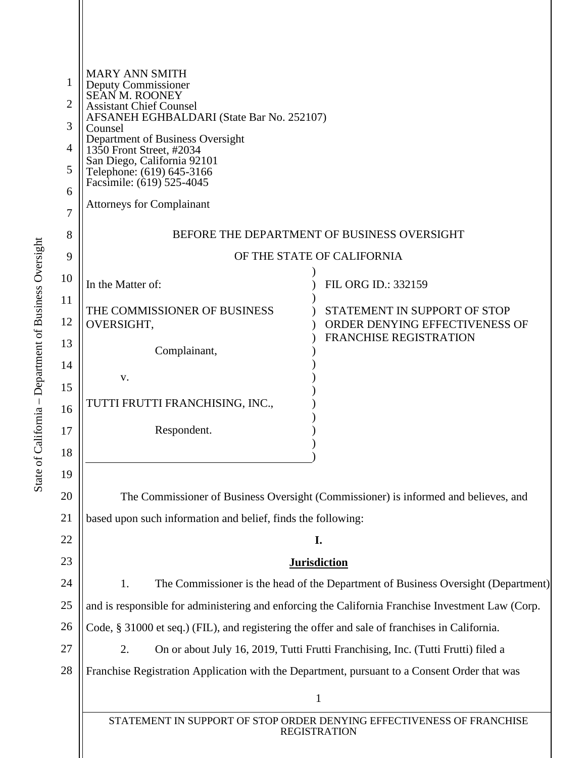| 1<br>$\overline{2}$<br>3<br>4<br>5<br>6<br>7<br>8 | <b>MARY ANN SMITH</b><br>Deputy Commissioner<br>SEAN M. ROONEY<br><b>Assistant Chief Counsel</b><br>AFSANEH EGHBALDARI (State Bar No. 252107)<br>Counsel<br>Department of Business Oversight<br>1350 Front Street, #2034<br>San Diego, California 92101<br>Telephone: (619) 645-3166<br>Facsimile: (619) 525-4045<br><b>Attorneys for Complainant</b><br>BEFORE THE DEPARTMENT OF BUSINESS OVERSIGHT |                                                                 |
|---------------------------------------------------|------------------------------------------------------------------------------------------------------------------------------------------------------------------------------------------------------------------------------------------------------------------------------------------------------------------------------------------------------------------------------------------------------|-----------------------------------------------------------------|
| 9                                                 |                                                                                                                                                                                                                                                                                                                                                                                                      | OF THE STATE OF CALIFORNIA                                      |
| 10                                                | In the Matter of:                                                                                                                                                                                                                                                                                                                                                                                    | FIL ORG ID.: 332159                                             |
| 11                                                | THE COMMISSIONER OF BUSINESS                                                                                                                                                                                                                                                                                                                                                                         | STATEMENT IN SUPPORT OF STOP                                    |
| 12                                                | OVERSIGHT,                                                                                                                                                                                                                                                                                                                                                                                           | ORDER DENYING EFFECTIVENESS OF<br><b>FRANCHISE REGISTRATION</b> |
| 13                                                | Complainant,                                                                                                                                                                                                                                                                                                                                                                                         |                                                                 |
| 14                                                | V.                                                                                                                                                                                                                                                                                                                                                                                                   |                                                                 |
| 15<br>16                                          | TUTTI FRUTTI FRANCHISING, INC.,                                                                                                                                                                                                                                                                                                                                                                      |                                                                 |
| 17                                                | Respondent.                                                                                                                                                                                                                                                                                                                                                                                          |                                                                 |
| 18                                                |                                                                                                                                                                                                                                                                                                                                                                                                      |                                                                 |
| 19                                                |                                                                                                                                                                                                                                                                                                                                                                                                      |                                                                 |
| 20                                                | The Commissioner of Business Oversight (Commissioner) is informed and believes, and                                                                                                                                                                                                                                                                                                                  |                                                                 |
| 21                                                | based upon such information and belief, finds the following:                                                                                                                                                                                                                                                                                                                                         |                                                                 |
| 22                                                | I.                                                                                                                                                                                                                                                                                                                                                                                                   |                                                                 |
| 23                                                | <b>Jurisdiction</b>                                                                                                                                                                                                                                                                                                                                                                                  |                                                                 |
| 24                                                | 1.<br>The Commissioner is the head of the Department of Business Oversight (Department)                                                                                                                                                                                                                                                                                                              |                                                                 |
| 25                                                | and is responsible for administering and enforcing the California Franchise Investment Law (Corp.                                                                                                                                                                                                                                                                                                    |                                                                 |
| 26                                                | Code, § 31000 et seq.) (FIL), and registering the offer and sale of franchises in California.                                                                                                                                                                                                                                                                                                        |                                                                 |
| 27                                                | On or about July 16, 2019, Tutti Frutti Franchising, Inc. (Tutti Frutti) filed a<br>2.                                                                                                                                                                                                                                                                                                               |                                                                 |
| 28                                                | Franchise Registration Application with the Department, pursuant to a Consent Order that was                                                                                                                                                                                                                                                                                                         |                                                                 |
|                                                   | $\mathbf{1}$                                                                                                                                                                                                                                                                                                                                                                                         |                                                                 |
|                                                   | STATEMENT IN SUPPORT OF STOP ORDER DENYING EFFECTIVENESS OF FRANCHISE<br><b>REGISTRATION</b>                                                                                                                                                                                                                                                                                                         |                                                                 |
|                                                   |                                                                                                                                                                                                                                                                                                                                                                                                      |                                                                 |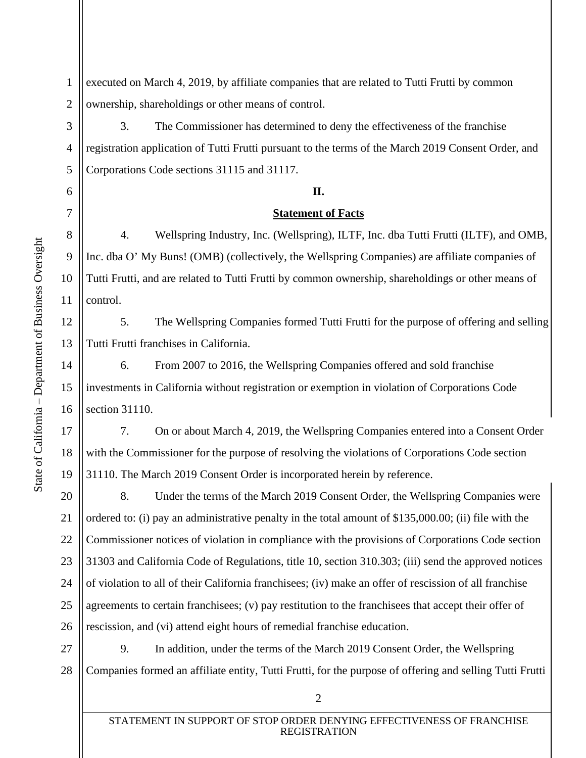3

4

5

6

7

8

9

10

11

12

13

14

15

16

17

18

19

1 2 executed on March 4, 2019, by affiliate companies that are related to Tutti Frutti by common ownership, shareholdings or other means of control.

3. The Commissioner has determined to deny the effectiveness of the franchise registration application of Tutti Frutti pursuant to the terms of the March 2019 Consent Order, and Corporations Code sections 31115 and 31117.

### **II.**

#### **Statement of Facts**

4. Wellspring Industry, Inc. (Wellspring), ILTF, Inc. dba Tutti Frutti (ILTF), and OMB, Inc. dba O' My Buns! (OMB) (collectively, the Wellspring Companies) are affiliate companies of Tutti Frutti, and are related to Tutti Frutti by common ownership, shareholdings or other means of control.

5. The Wellspring Companies formed Tutti Frutti for the purpose of offering and selling Tutti Frutti franchises in California.

6. From 2007 to 2016, the Wellspring Companies offered and sold franchise investments in California without registration or exemption in violation of Corporations Code section 31110.

7. On or about March 4, 2019, the Wellspring Companies entered into a Consent Order with the Commissioner for the purpose of resolving the violations of Corporations Code section 31110. The March 2019 Consent Order is incorporated herein by reference.

20 21 22 23 24 25 26 8. Under the terms of the March 2019 Consent Order, the Wellspring Companies were ordered to: (i) pay an administrative penalty in the total amount of \$135,000.00; (ii) file with the Commissioner notices of violation in compliance with the provisions of Corporations Code section 31303 and California Code of Regulations, title 10, section 310.303; (iii) send the approved notices of violation to all of their California franchisees; (iv) make an offer of rescission of all franchise agreements to certain franchisees; (v) pay restitution to the franchisees that accept their offer of rescission, and (vi) attend eight hours of remedial franchise education.

27 28 9. In addition, under the terms of the March 2019 Consent Order, the Wellspring Companies formed an affiliate entity, Tutti Frutti, for the purpose of offering and selling Tutti Frutti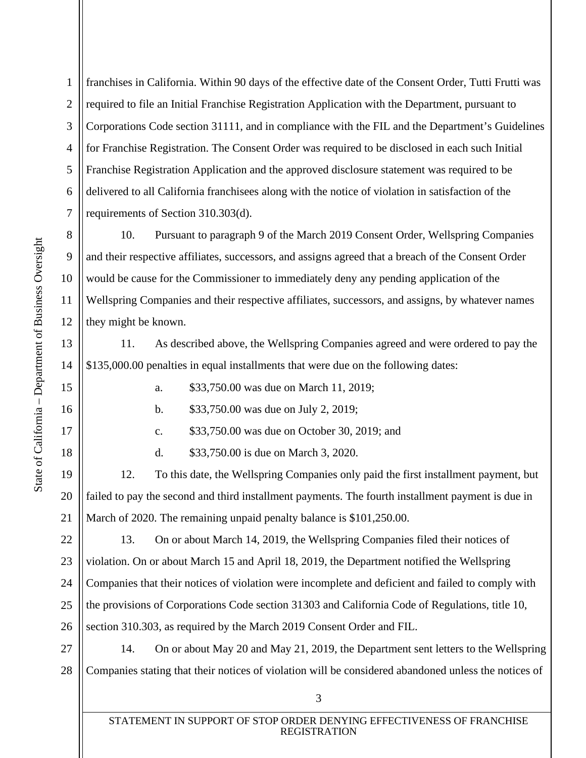1

2

3

4

5

6

7

8

9

10

11

12

13

14

15

16

17

18

19

20

21

franchises in California. Within 90 days of the effective date of the Consent Order, Tutti Frutti was required to file an Initial Franchise Registration Application with the Department, pursuant to Corporations Code section 31111, and in compliance with the FIL and the Department's Guidelines for Franchise Registration. The Consent Order was required to be disclosed in each such Initial Franchise Registration Application and the approved disclosure statement was required to be delivered to all California franchisees along with the notice of violation in satisfaction of the requirements of Section 310.303(d).

10. Pursuant to paragraph 9 of the March 2019 Consent Order, Wellspring Companies and their respective affiliates, successors, and assigns agreed that a breach of the Consent Order would be cause for the Commissioner to immediately deny any pending application of the Wellspring Companies and their respective affiliates, successors, and assigns, by whatever names they might be known.

11. As described above, the Wellspring Companies agreed and were ordered to pay the \$135,000.00 penalties in equal installments that were due on the following dates:

a. \$33,750.00 was due on March 11, 2019;

b. \$33,750.00 was due on July 2, 2019;

c. \$33,750.00 was due on October 30, 2019; and

d. \$33,750.00 is due on March 3, 2020.

12. To this date, the Wellspring Companies only paid the first installment payment, but failed to pay the second and third installment payments. The fourth installment payment is due in March of 2020. The remaining unpaid penalty balance is \$101,250.00.

22 23 24 25 26 13. On or about March 14, 2019, the Wellspring Companies filed their notices of violation. On or about March 15 and April 18, 2019, the Department notified the Wellspring Companies that their notices of violation were incomplete and deficient and failed to comply with the provisions of Corporations Code section 31303 and California Code of Regulations, title 10, section 310.303, as required by the March 2019 Consent Order and FIL.

27 28 14. On or about May 20 and May 21, 2019, the Department sent letters to the Wellspring Companies stating that their notices of violation will be considered abandoned unless the notices of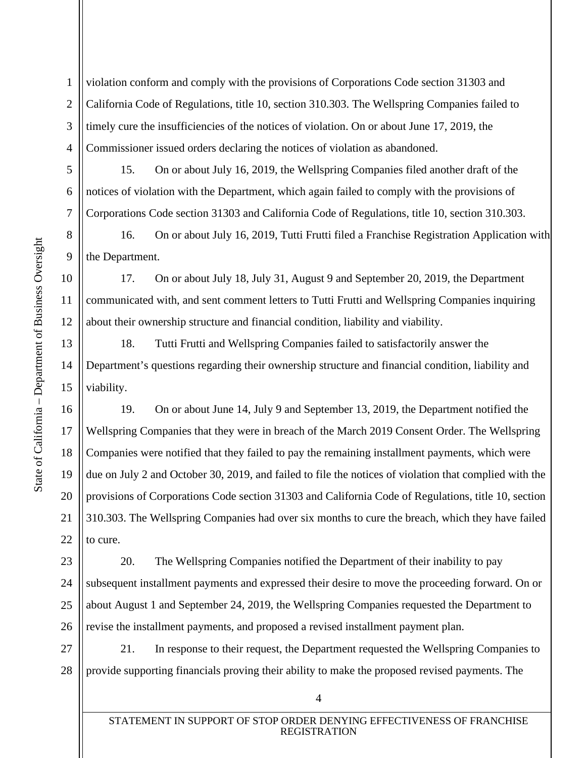1

2

3

4

5

6

7

8

9

10

11

12

13

14

15

17

18

19

20

21

23

24

25

26

violation conform and comply with the provisions of Corporations Code section 31303 and California Code of Regulations, title 10, section 310.303. The Wellspring Companies failed to timely cure the insufficiencies of the notices of violation. On or about June 17, 2019, the Commissioner issued orders declaring the notices of violation as abandoned.

15. On or about July 16, 2019, the Wellspring Companies filed another draft of the notices of violation with the Department, which again failed to comply with the provisions of Corporations Code section 31303 and California Code of Regulations, title 10, section 310.303.

16. On or about July 16, 2019, Tutti Frutti filed a Franchise Registration Application with the Department.

17. On or about July 18, July 31, August 9 and September 20, 2019, the Department communicated with, and sent comment letters to Tutti Frutti and Wellspring Companies inquiring about their ownership structure and financial condition, liability and viability.

18. Tutti Frutti and Wellspring Companies failed to satisfactorily answer the Department's questions regarding their ownership structure and financial condition, liability and viability.

16 22 19. On or about June 14, July 9 and September 13, 2019, the Department notified the Wellspring Companies that they were in breach of the March 2019 Consent Order. The Wellspring Companies were notified that they failed to pay the remaining installment payments, which were due on July 2 and October 30, 2019, and failed to file the notices of violation that complied with the provisions of Corporations Code section 31303 and California Code of Regulations, title 10, section 310.303. The Wellspring Companies had over six months to cure the breach, which they have failed to cure.

20. The Wellspring Companies notified the Department of their inability to pay subsequent installment payments and expressed their desire to move the proceeding forward. On or about August 1 and September 24, 2019, the Wellspring Companies requested the Department to revise the installment payments, and proposed a revised installment payment plan.

27 28 21. In response to their request, the Department requested the Wellspring Companies to provide supporting financials proving their ability to make the proposed revised payments. The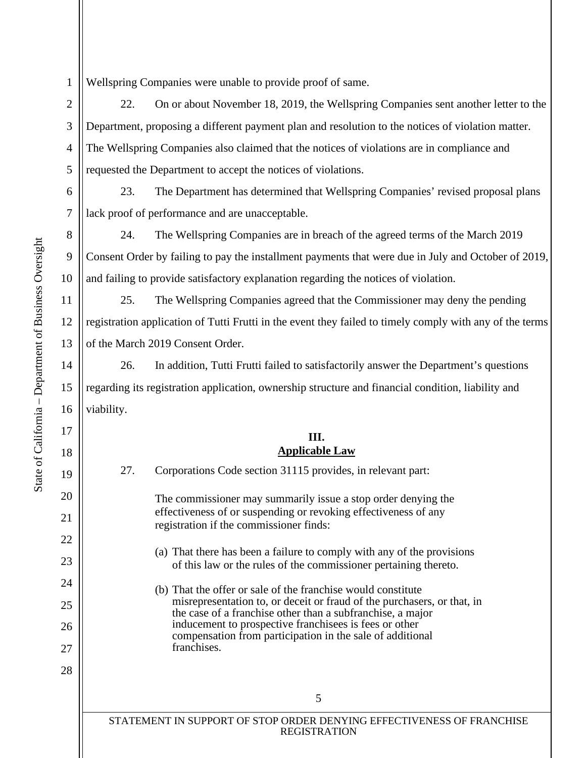1 Wellspring Companies were unable to provide proof of same.

22. On or about November 18, 2019, the Wellspring Companies sent another letter to the Department, proposing a different payment plan and resolution to the notices of violation matter. The Wellspring Companies also claimed that the notices of violations are in compliance and requested the Department to accept the notices of violations.

23. The Department has determined that Wellspring Companies' revised proposal plans lack proof of performance and are unacceptable.

24. The Wellspring Companies are in breach of the agreed terms of the March 2019 Consent Order by failing to pay the installment payments that were due in July and October of 2019, and failing to provide satisfactory explanation regarding the notices of violation.

25. The Wellspring Companies agreed that the Commissioner may deny the pending registration application of Tutti Frutti in the event they failed to timely comply with any of the terms of the March 2019 Consent Order.

26. In addition, Tutti Frutti failed to satisfactorily answer the Department's questions regarding its registration application, ownership structure and financial condition, liability and viability.

## **III. Applicable Law**

21

22

23

24

25

26

27

28

2

3

4

5

6

7

8

9

10

11

12

 5 STATEMENT IN SUPPORT OF STOP ORDER DENYING EFFECTIVENESS OF FRANCHISE REGISTRATION 27. Corporations Code section 31115 provides, in relevant part: The commissioner may summarily issue a stop order denying the effectiveness of or suspending or revoking effectiveness of any registration if the commissioner finds: (a) That there has been a failure to comply with any of the provisions of this law or the rules of the commissioner pertaining thereto. (b) That the offer or sale of the franchise would constitute misrepresentation to, or deceit or fraud of the purchasers, or that, in the case of a franchise other than a subfranchise, a major inducement to prospective franchisees is fees or other compensation from participation in the sale of additional franchises.